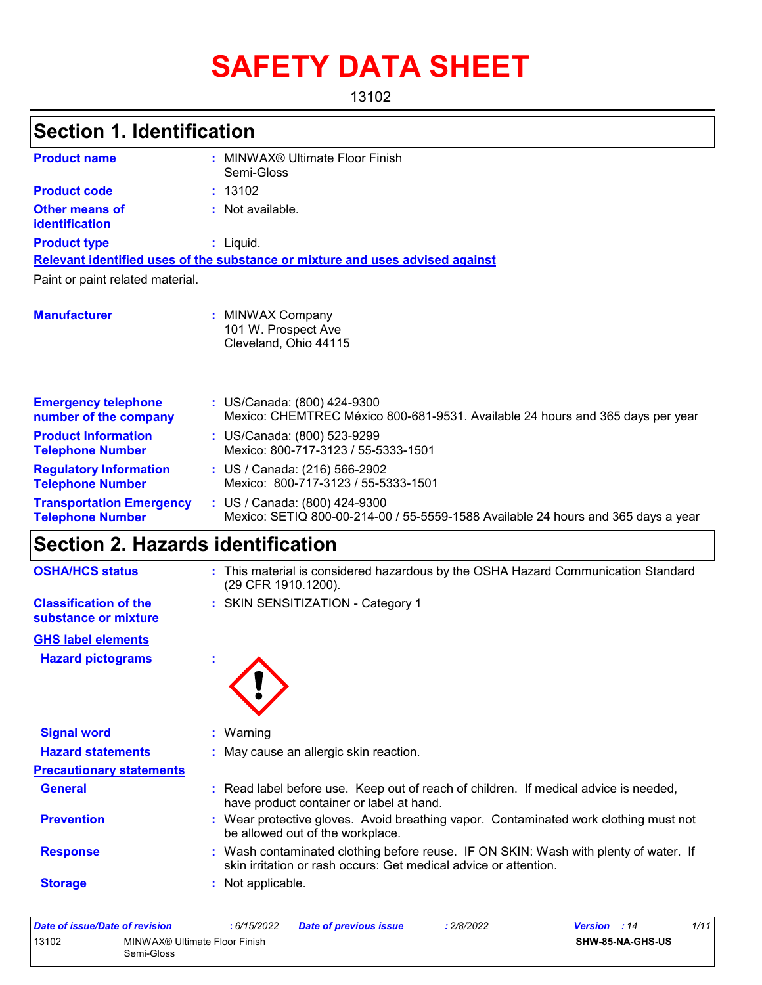# **SAFETY DATA SHEET**

13102

| <b>Section 1. Identification</b>                           |                                                                                                                                  |  |  |  |  |
|------------------------------------------------------------|----------------------------------------------------------------------------------------------------------------------------------|--|--|--|--|
| <b>Product name</b>                                        | : MINWAX® Ultimate Floor Finish<br>Semi-Gloss                                                                                    |  |  |  |  |
| <b>Product code</b>                                        | : 13102                                                                                                                          |  |  |  |  |
| <b>Other means of</b><br>identification                    | : Not available.                                                                                                                 |  |  |  |  |
| <b>Product type</b>                                        | : Liquid.                                                                                                                        |  |  |  |  |
|                                                            | Relevant identified uses of the substance or mixture and uses advised against                                                    |  |  |  |  |
| Paint or paint related material.                           |                                                                                                                                  |  |  |  |  |
| <b>Manufacturer</b>                                        | : MINWAX Company<br>101 W. Prospect Ave<br>Cleveland, Ohio 44115                                                                 |  |  |  |  |
| <b>Emergency telephone</b><br>number of the company        | : US/Canada: (800) 424-9300<br>Mexico: CHEMTREC México 800-681-9531. Available 24 hours and 365 days per year                    |  |  |  |  |
| <b>Product Information</b><br><b>Telephone Number</b>      | : US/Canada: (800) 523-9299<br>Mexico: 800-717-3123 / 55-5333-1501                                                               |  |  |  |  |
| <b>Regulatory Information</b><br><b>Telephone Number</b>   | : US / Canada: (216) 566-2902<br>Mexico: 800-717-3123 / 55-5333-1501                                                             |  |  |  |  |
| <b>Transportation Emergency</b><br><b>Telephone Number</b> | : US / Canada: (800) 424-9300<br>Mexico: SETIQ 800-00-214-00 / 55-5559-1588 Available 24 hours and 365 days a year               |  |  |  |  |
| Section 2. Hazards identification                          |                                                                                                                                  |  |  |  |  |
| <b>OSHA/HCS status</b>                                     | : This material is considered hazardous by the OSHA Hazard Communication Standard<br>(29 CFR 1910.1200).                         |  |  |  |  |
| <b>Classification of the</b><br>substance or mixture       | : SKIN SENSITIZATION - Category 1                                                                                                |  |  |  |  |
| <b>GHS label elements</b>                                  |                                                                                                                                  |  |  |  |  |
| <b>Hazard pictograms</b>                                   |                                                                                                                                  |  |  |  |  |
| <b>Signal word</b>                                         | : Warning                                                                                                                        |  |  |  |  |
| <b>Hazard statements</b>                                   | : May cause an allergic skin reaction.                                                                                           |  |  |  |  |
| <b>Precautionary statements</b>                            |                                                                                                                                  |  |  |  |  |
| <b>General</b>                                             | : Read label before use. Keep out of reach of children. If medical advice is needed,<br>have product container or label at hand. |  |  |  |  |
| <b>Prevention</b>                                          | : Wear protective gloves. Avoid breathing vapor. Contaminated work clothing must not<br>be allowed out of the workplace.         |  |  |  |  |

**Response :** Wash contaminated clothing before reuse. IF ON SKIN: Wash with plenty of water. If skin irritation or rash occurs: Get medical advice or attention.

**Storage :** Not applicable.

| Date of issue/Date of revision |                                             | : 6/15/2022 | Date of previous issue | : 2/8/2022 | <b>Version</b> : 14     | 1/11 |
|--------------------------------|---------------------------------------------|-------------|------------------------|------------|-------------------------|------|
| 13102                          | MINWAX® Ultimate Floor Finish<br>Semi-Gloss |             |                        |            | <b>SHW-85-NA-GHS-US</b> |      |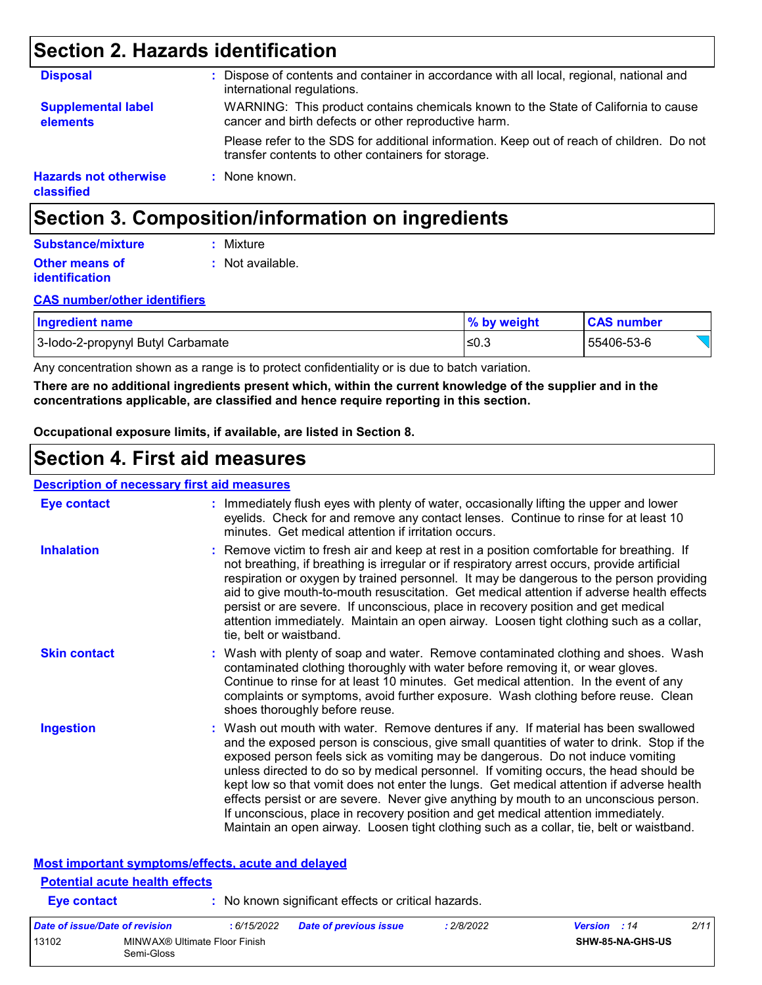### **Section 2. Hazards identification**

| <b>Disposal</b>                            | Dispose of contents and container in accordance with all local, regional, national and<br>international regulations.                            |
|--------------------------------------------|-------------------------------------------------------------------------------------------------------------------------------------------------|
| <b>Supplemental label</b><br>elements      | WARNING: This product contains chemicals known to the State of California to cause<br>cancer and birth defects or other reproductive harm.      |
|                                            | Please refer to the SDS for additional information. Keep out of reach of children. Do not<br>transfer contents to other containers for storage. |
| <b>Hazards not otherwise</b><br>classified | : None known.                                                                                                                                   |

### **Section 3. Composition/information on ingredients**

| <b>Substance/mixture</b> | : Mixture        |
|--------------------------|------------------|
| <b>Other means of</b>    | : Not available. |
| identification           |                  |

#### **CAS number/other identifiers**

| <b>Ingredient name</b>            | $\%$ by weight | <b>CAS number</b> |
|-----------------------------------|----------------|-------------------|
| 3-Iodo-2-propynyl Butyl Carbamate | '≤0.3          | 55406-53-6        |

Any concentration shown as a range is to protect confidentiality or is due to batch variation.

**There are no additional ingredients present which, within the current knowledge of the supplier and in the concentrations applicable, are classified and hence require reporting in this section.**

**Occupational exposure limits, if available, are listed in Section 8.**

### **Section 4. First aid measures**

#### **Description of necessary first aid measures**

| <b>Eye contact</b>                                 | : Immediately flush eyes with plenty of water, occasionally lifting the upper and lower<br>eyelids. Check for and remove any contact lenses. Continue to rinse for at least 10<br>minutes. Get medical attention if irritation occurs.                                                                                                                                                                                                                                                                                                                                                                                                                                                                                            |
|----------------------------------------------------|-----------------------------------------------------------------------------------------------------------------------------------------------------------------------------------------------------------------------------------------------------------------------------------------------------------------------------------------------------------------------------------------------------------------------------------------------------------------------------------------------------------------------------------------------------------------------------------------------------------------------------------------------------------------------------------------------------------------------------------|
| <b>Inhalation</b>                                  | : Remove victim to fresh air and keep at rest in a position comfortable for breathing. If<br>not breathing, if breathing is irregular or if respiratory arrest occurs, provide artificial<br>respiration or oxygen by trained personnel. It may be dangerous to the person providing<br>aid to give mouth-to-mouth resuscitation. Get medical attention if adverse health effects<br>persist or are severe. If unconscious, place in recovery position and get medical<br>attention immediately. Maintain an open airway. Loosen tight clothing such as a collar,<br>tie, belt or waistband.                                                                                                                                      |
| <b>Skin contact</b>                                | : Wash with plenty of soap and water. Remove contaminated clothing and shoes. Wash<br>contaminated clothing thoroughly with water before removing it, or wear gloves.<br>Continue to rinse for at least 10 minutes. Get medical attention. In the event of any<br>complaints or symptoms, avoid further exposure. Wash clothing before reuse. Clean<br>shoes thoroughly before reuse.                                                                                                                                                                                                                                                                                                                                             |
| <b>Ingestion</b>                                   | : Wash out mouth with water. Remove dentures if any. If material has been swallowed<br>and the exposed person is conscious, give small quantities of water to drink. Stop if the<br>exposed person feels sick as vomiting may be dangerous. Do not induce vomiting<br>unless directed to do so by medical personnel. If vomiting occurs, the head should be<br>kept low so that vomit does not enter the lungs. Get medical attention if adverse health<br>effects persist or are severe. Never give anything by mouth to an unconscious person.<br>If unconscious, place in recovery position and get medical attention immediately.<br>Maintain an open airway. Loosen tight clothing such as a collar, tie, belt or waistband. |
| Most important symptoms/effects, acute and delayed |                                                                                                                                                                                                                                                                                                                                                                                                                                                                                                                                                                                                                                                                                                                                   |
| <b>Potential acute health effects</b>              |                                                                                                                                                                                                                                                                                                                                                                                                                                                                                                                                                                                                                                                                                                                                   |
| <b>Eye contact</b>                                 | : No known significant effects or critical hazards.                                                                                                                                                                                                                                                                                                                                                                                                                                                                                                                                                                                                                                                                               |

| Date of issue/Date of revision |                                             | : 6/15/2022 | <b>Date of previous issue</b> | : 2/8/2022 | 2/11<br><b>Version</b> : 14 |
|--------------------------------|---------------------------------------------|-------------|-------------------------------|------------|-----------------------------|
| 13102                          | MINWAX® Ultimate Floor Finish<br>Semi-Gloss |             |                               |            | SHW-85-NA-GHS-US            |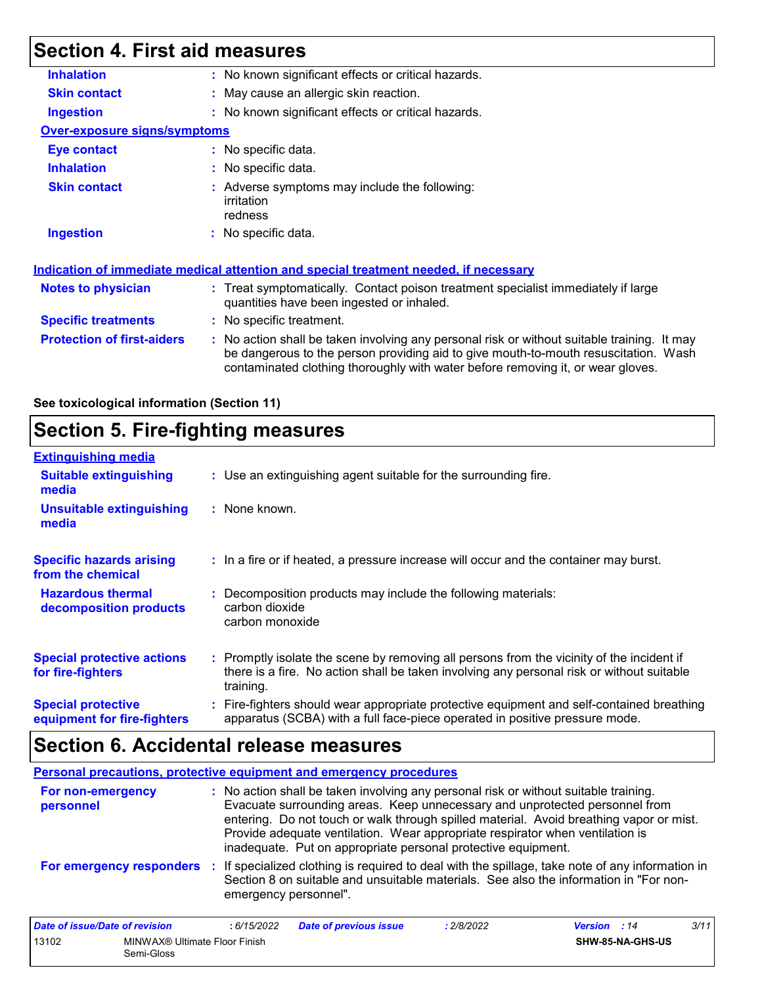# **Section 4. First aid measures**

| <b>Inhalation</b>                   | : No known significant effects or critical hazards.                                                                                                                                                                                                                   |  |  |  |
|-------------------------------------|-----------------------------------------------------------------------------------------------------------------------------------------------------------------------------------------------------------------------------------------------------------------------|--|--|--|
| <b>Skin contact</b>                 | : May cause an allergic skin reaction.                                                                                                                                                                                                                                |  |  |  |
| <b>Ingestion</b>                    | : No known significant effects or critical hazards.                                                                                                                                                                                                                   |  |  |  |
| <b>Over-exposure signs/symptoms</b> |                                                                                                                                                                                                                                                                       |  |  |  |
| <b>Eye contact</b>                  | : No specific data.                                                                                                                                                                                                                                                   |  |  |  |
| <b>Inhalation</b>                   | : No specific data.                                                                                                                                                                                                                                                   |  |  |  |
| <b>Skin contact</b>                 | : Adverse symptoms may include the following:<br>irritation<br>redness                                                                                                                                                                                                |  |  |  |
| <b>Ingestion</b>                    | : No specific data.                                                                                                                                                                                                                                                   |  |  |  |
|                                     | Indication of immediate medical attention and special treatment needed, if necessary                                                                                                                                                                                  |  |  |  |
| Notes to physician                  | : Treat symptomatically. Contact poison treatment specialist immediately if large<br>quantities have been ingested or inhaled.                                                                                                                                        |  |  |  |
| <b>Specific treatments</b>          | : No specific treatment.                                                                                                                                                                                                                                              |  |  |  |
| <b>Protection of first-aiders</b>   | : No action shall be taken involving any personal risk or without suitable training. It may<br>be dangerous to the person providing aid to give mouth-to-mouth resuscitation. Wash<br>contaminated clothing thoroughly with water before removing it, or wear gloves. |  |  |  |

**See toxicological information (Section 11)**

### **Section 5. Fire-fighting measures**

| <b>Extinguishing media</b>                               |                                   |                                                                                                                                                                                        |
|----------------------------------------------------------|-----------------------------------|----------------------------------------------------------------------------------------------------------------------------------------------------------------------------------------|
| <b>Suitable extinguishing</b><br>media                   |                                   | : Use an extinguishing agent suitable for the surrounding fire.                                                                                                                        |
| <b>Unsuitable extinguishing</b><br>media                 | $:$ None known.                   |                                                                                                                                                                                        |
| <b>Specific hazards arising</b><br>from the chemical     |                                   | : In a fire or if heated, a pressure increase will occur and the container may burst.                                                                                                  |
| <b>Hazardous thermal</b><br>decomposition products       | carbon dioxide<br>carbon monoxide | Decomposition products may include the following materials:                                                                                                                            |
| <b>Special protective actions</b><br>for fire-fighters   | training.                         | : Promptly isolate the scene by removing all persons from the vicinity of the incident if<br>there is a fire. No action shall be taken involving any personal risk or without suitable |
| <b>Special protective</b><br>equipment for fire-fighters |                                   | : Fire-fighters should wear appropriate protective equipment and self-contained breathing<br>apparatus (SCBA) with a full face-piece operated in positive pressure mode.               |

# **Section 6. Accidental release measures**

|                                | <b>Personal precautions, protective equipment and emergency procedures</b>                                                                                                                                                                                                                                                                                                                                       |
|--------------------------------|------------------------------------------------------------------------------------------------------------------------------------------------------------------------------------------------------------------------------------------------------------------------------------------------------------------------------------------------------------------------------------------------------------------|
| For non-emergency<br>personnel | : No action shall be taken involving any personal risk or without suitable training.<br>Evacuate surrounding areas. Keep unnecessary and unprotected personnel from<br>entering. Do not touch or walk through spilled material. Avoid breathing vapor or mist.<br>Provide adequate ventilation. Wear appropriate respirator when ventilation is<br>inadequate. Put on appropriate personal protective equipment. |
| For emergency responders       | : If specialized clothing is required to deal with the spillage, take note of any information in<br>Section 8 on suitable and unsuitable materials. See also the information in "For non-<br>emergency personnel".                                                                                                                                                                                               |

| Date of issue/Date of revision |                                             | : 6/15/2022 | <b>Date of previous issue</b> | 2/8/2022 | <b>Version</b> : 14 |                         | 3/11 |
|--------------------------------|---------------------------------------------|-------------|-------------------------------|----------|---------------------|-------------------------|------|
| 13102                          | MINWAX® Ultimate Floor Finish<br>Semi-Gloss |             |                               |          |                     | <b>SHW-85-NA-GHS-US</b> |      |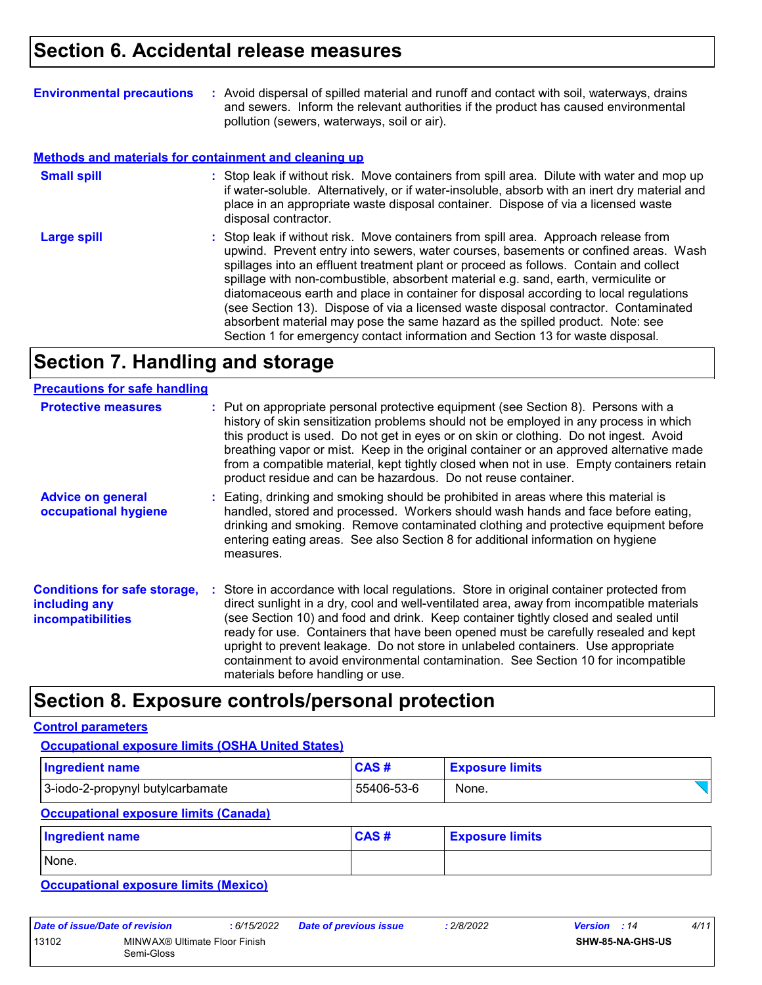| <b>Environmental precautions</b> | : Avoid dispersal of spilled material and runoff and contact with soil, waterways, drains |
|----------------------------------|-------------------------------------------------------------------------------------------|
|                                  | and sewers. Inform the relevant authorities if the product has caused environmental       |
|                                  | pollution (sewers, waterways, soil or air).                                               |

#### **Methods and materials for containment and cleaning up**

| <b>Small spill</b> | : Stop leak if without risk. Move containers from spill area. Dilute with water and mop up<br>if water-soluble. Alternatively, or if water-insoluble, absorb with an inert dry material and<br>place in an appropriate waste disposal container. Dispose of via a licensed waste<br>disposal contractor.                                                                                                                                                                                                                                                                                                                                                                                                     |
|--------------------|--------------------------------------------------------------------------------------------------------------------------------------------------------------------------------------------------------------------------------------------------------------------------------------------------------------------------------------------------------------------------------------------------------------------------------------------------------------------------------------------------------------------------------------------------------------------------------------------------------------------------------------------------------------------------------------------------------------|
| <b>Large spill</b> | : Stop leak if without risk. Move containers from spill area. Approach release from<br>upwind. Prevent entry into sewers, water courses, basements or confined areas. Wash<br>spillages into an effluent treatment plant or proceed as follows. Contain and collect<br>spillage with non-combustible, absorbent material e.g. sand, earth, vermiculite or<br>diatomaceous earth and place in container for disposal according to local regulations<br>(see Section 13). Dispose of via a licensed waste disposal contractor. Contaminated<br>absorbent material may pose the same hazard as the spilled product. Note: see<br>Section 1 for emergency contact information and Section 13 for waste disposal. |

# **Section 7. Handling and storage**

| <b>Precautions for safe handling</b>                                             |                                                                                                                                                                                                                                                                                                                                                                                                                                                                                                                                                                                    |
|----------------------------------------------------------------------------------|------------------------------------------------------------------------------------------------------------------------------------------------------------------------------------------------------------------------------------------------------------------------------------------------------------------------------------------------------------------------------------------------------------------------------------------------------------------------------------------------------------------------------------------------------------------------------------|
| <b>Protective measures</b>                                                       | : Put on appropriate personal protective equipment (see Section 8). Persons with a<br>history of skin sensitization problems should not be employed in any process in which<br>this product is used. Do not get in eyes or on skin or clothing. Do not ingest. Avoid<br>breathing vapor or mist. Keep in the original container or an approved alternative made<br>from a compatible material, kept tightly closed when not in use. Empty containers retain<br>product residue and can be hazardous. Do not reuse container.                                                       |
| <b>Advice on general</b><br>occupational hygiene                                 | : Eating, drinking and smoking should be prohibited in areas where this material is<br>handled, stored and processed. Workers should wash hands and face before eating,<br>drinking and smoking. Remove contaminated clothing and protective equipment before<br>entering eating areas. See also Section 8 for additional information on hygiene<br>measures.                                                                                                                                                                                                                      |
| <b>Conditions for safe storage,</b><br>including any<br><i>incompatibilities</i> | : Store in accordance with local regulations. Store in original container protected from<br>direct sunlight in a dry, cool and well-ventilated area, away from incompatible materials<br>(see Section 10) and food and drink. Keep container tightly closed and sealed until<br>ready for use. Containers that have been opened must be carefully resealed and kept<br>upright to prevent leakage. Do not store in unlabeled containers. Use appropriate<br>containment to avoid environmental contamination. See Section 10 for incompatible<br>materials before handling or use. |

### **Section 8. Exposure controls/personal protection**

#### **Control parameters**

#### **Occupational exposure limits (OSHA United States)**

| <b>Ingredient name</b>                       | <b>CAS#</b> | <b>Exposure limits</b> |  |
|----------------------------------------------|-------------|------------------------|--|
| 3-iodo-2-propynyl butylcarbamate             | 55406-53-6  | None.                  |  |
| <b>Occupational exposure limits (Canada)</b> |             |                        |  |
| Ingredient name                              | <b>CAS#</b> | <b>Exposure limits</b> |  |
| None.                                        |             |                        |  |

**Occupational exposure limits (Mexico)**

| Date of issue/Date of revision |                               | : 6/15/2022 | <b>Date of previous issue</b> | : 2/8/2022 | 4/11<br><b>Version</b> : 14 |
|--------------------------------|-------------------------------|-------------|-------------------------------|------------|-----------------------------|
| 13102                          | MINWAX® Ultimate Floor Finish |             |                               |            | <b>SHW-85-NA-GHS-US</b>     |
|                                | Semi-Gloss                    |             |                               |            |                             |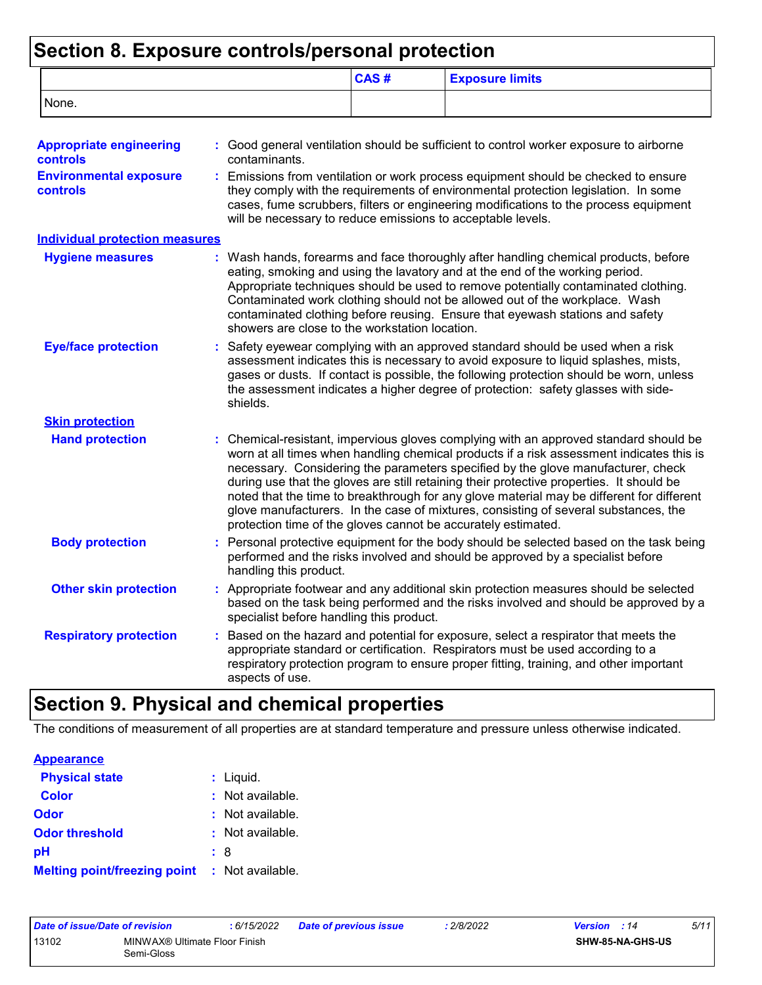# **Section 8. Exposure controls/personal protection**

|                                                                                                       |                        | CAS#                                                                                                                                                                                                                                                                                                                                                 | <b>Exposure limits</b>                                                                                                                                                                                                                                                                                                                                                                                                                                                                                                                                                                                                 |  |  |
|-------------------------------------------------------------------------------------------------------|------------------------|------------------------------------------------------------------------------------------------------------------------------------------------------------------------------------------------------------------------------------------------------------------------------------------------------------------------------------------------------|------------------------------------------------------------------------------------------------------------------------------------------------------------------------------------------------------------------------------------------------------------------------------------------------------------------------------------------------------------------------------------------------------------------------------------------------------------------------------------------------------------------------------------------------------------------------------------------------------------------------|--|--|
| None.                                                                                                 |                        |                                                                                                                                                                                                                                                                                                                                                      |                                                                                                                                                                                                                                                                                                                                                                                                                                                                                                                                                                                                                        |  |  |
| <b>Appropriate engineering</b><br><b>controls</b><br><b>Environmental exposure</b><br><b>controls</b> | contaminants.          |                                                                                                                                                                                                                                                                                                                                                      | : Good general ventilation should be sufficient to control worker exposure to airborne<br>Emissions from ventilation or work process equipment should be checked to ensure<br>they comply with the requirements of environmental protection legislation. In some                                                                                                                                                                                                                                                                                                                                                       |  |  |
|                                                                                                       |                        | will be necessary to reduce emissions to acceptable levels.                                                                                                                                                                                                                                                                                          | cases, fume scrubbers, filters or engineering modifications to the process equipment                                                                                                                                                                                                                                                                                                                                                                                                                                                                                                                                   |  |  |
| <b>Individual protection measures</b>                                                                 |                        |                                                                                                                                                                                                                                                                                                                                                      |                                                                                                                                                                                                                                                                                                                                                                                                                                                                                                                                                                                                                        |  |  |
| <b>Hygiene measures</b>                                                                               |                        | showers are close to the workstation location.                                                                                                                                                                                                                                                                                                       | : Wash hands, forearms and face thoroughly after handling chemical products, before<br>eating, smoking and using the lavatory and at the end of the working period.<br>Appropriate techniques should be used to remove potentially contaminated clothing.<br>Contaminated work clothing should not be allowed out of the workplace. Wash<br>contaminated clothing before reusing. Ensure that eyewash stations and safety                                                                                                                                                                                              |  |  |
| <b>Eye/face protection</b>                                                                            | shields.               | Safety eyewear complying with an approved standard should be used when a risk<br>assessment indicates this is necessary to avoid exposure to liquid splashes, mists,<br>gases or dusts. If contact is possible, the following protection should be worn, unless<br>the assessment indicates a higher degree of protection: safety glasses with side- |                                                                                                                                                                                                                                                                                                                                                                                                                                                                                                                                                                                                                        |  |  |
| <b>Skin protection</b>                                                                                |                        |                                                                                                                                                                                                                                                                                                                                                      |                                                                                                                                                                                                                                                                                                                                                                                                                                                                                                                                                                                                                        |  |  |
| <b>Hand protection</b>                                                                                |                        |                                                                                                                                                                                                                                                                                                                                                      | : Chemical-resistant, impervious gloves complying with an approved standard should be<br>worn at all times when handling chemical products if a risk assessment indicates this is<br>necessary. Considering the parameters specified by the glove manufacturer, check<br>during use that the gloves are still retaining their protective properties. It should be<br>noted that the time to breakthrough for any glove material may be different for different<br>glove manufacturers. In the case of mixtures, consisting of several substances, the<br>protection time of the gloves cannot be accurately estimated. |  |  |
| <b>Body protection</b>                                                                                | handling this product. |                                                                                                                                                                                                                                                                                                                                                      | Personal protective equipment for the body should be selected based on the task being<br>performed and the risks involved and should be approved by a specialist before                                                                                                                                                                                                                                                                                                                                                                                                                                                |  |  |
| <b>Other skin protection</b>                                                                          |                        | specialist before handling this product.                                                                                                                                                                                                                                                                                                             | : Appropriate footwear and any additional skin protection measures should be selected<br>based on the task being performed and the risks involved and should be approved by a                                                                                                                                                                                                                                                                                                                                                                                                                                          |  |  |
| <b>Respiratory protection</b>                                                                         | aspects of use.        |                                                                                                                                                                                                                                                                                                                                                      | Based on the hazard and potential for exposure, select a respirator that meets the<br>appropriate standard or certification. Respirators must be used according to a<br>respiratory protection program to ensure proper fitting, training, and other important                                                                                                                                                                                                                                                                                                                                                         |  |  |

## **Section 9. Physical and chemical properties**

The conditions of measurement of all properties are at standard temperature and pressure unless otherwise indicated.

| <b>Appearance</b>                                    |                        |  |
|------------------------------------------------------|------------------------|--|
| <b>Physical state</b>                                | $:$ Liquid.            |  |
| <b>Color</b>                                         | : Not available.       |  |
| Odor                                                 | : Not available.       |  |
| <b>Odor threshold</b>                                | $\cdot$ Not available. |  |
| рH                                                   | : 8                    |  |
| <b>Melting point/freezing point : Not available.</b> |                        |  |

| Date of issue/Date of revision |                               | : 6/15/2022 | Date of previous issue | 2/8/2022 | <b>Version</b> : 14 | 5/11 |  |
|--------------------------------|-------------------------------|-------------|------------------------|----------|---------------------|------|--|
| 13102                          | MINWAX® Ultimate Floor Finish |             |                        |          | SHW-85-NA-GHS-US    |      |  |
|                                | Semi-Gloss                    |             |                        |          |                     |      |  |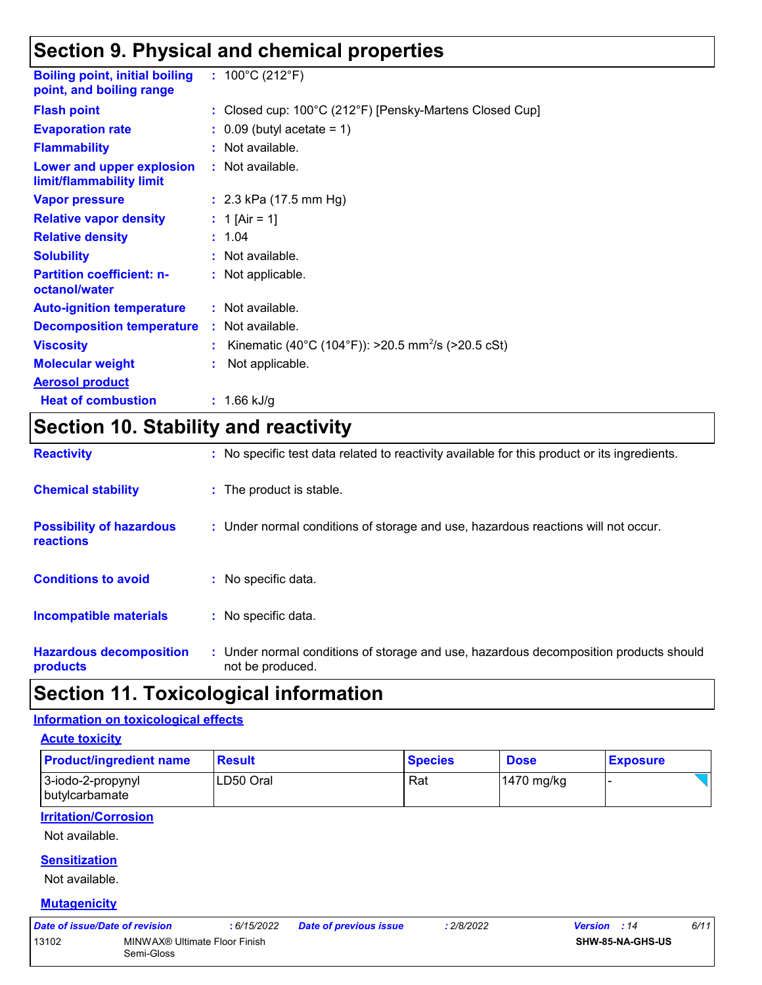### **Section 9. Physical and chemical properties**

| <b>Boiling point, initial boiling</b><br>point, and boiling range | : $100^{\circ}$ C (212 $^{\circ}$ F)                           |
|-------------------------------------------------------------------|----------------------------------------------------------------|
| <b>Flash point</b>                                                | : Closed cup: 100°C (212°F) [Pensky-Martens Closed Cup]        |
| <b>Evaporation rate</b>                                           | $\therefore$ 0.09 (butyl acetate = 1)                          |
| <b>Flammability</b>                                               | : Not available.                                               |
| Lower and upper explosion<br>limit/flammability limit             | : Not available.                                               |
| <b>Vapor pressure</b>                                             | : $2.3$ kPa (17.5 mm Hg)                                       |
| <b>Relative vapor density</b>                                     | : 1 [Air = 1]                                                  |
| <b>Relative density</b>                                           | : 1.04                                                         |
| <b>Solubility</b>                                                 | : Not available.                                               |
| <b>Partition coefficient: n-</b><br>octanol/water                 | : Not applicable.                                              |
| <b>Auto-ignition temperature</b>                                  | $:$ Not available.                                             |
| <b>Decomposition temperature</b>                                  | : Not available.                                               |
| <b>Viscosity</b>                                                  | Kinematic (40°C (104°F)): >20.5 mm <sup>2</sup> /s (>20.5 cSt) |
| <b>Molecular weight</b>                                           | Not applicable.                                                |
| <b>Aerosol product</b>                                            |                                                                |
| <b>Heat of combustion</b>                                         | 1.66 kJ/g                                                      |

### **Section 10. Stability and reactivity**

| <b>Reactivity</b>                                   | : No specific test data related to reactivity available for this product or its ingredients.              |
|-----------------------------------------------------|-----------------------------------------------------------------------------------------------------------|
| <b>Chemical stability</b>                           | : The product is stable.                                                                                  |
| <b>Possibility of hazardous</b><br><b>reactions</b> | : Under normal conditions of storage and use, hazardous reactions will not occur.                         |
| <b>Conditions to avoid</b>                          | : No specific data.                                                                                       |
| Incompatible materials                              | : No specific data.                                                                                       |
| <b>Hazardous decomposition</b><br>products          | : Under normal conditions of storage and use, hazardous decomposition products should<br>not be produced. |

### **Section 11. Toxicological information**

#### **Information on toxicological effects**

**Acute toxicity**

| <b>Product/ingredient name</b>        | <b>Result</b> | <b>Species</b> | <b>Dose</b>  | <b>Exposure</b> |
|---------------------------------------|---------------|----------------|--------------|-----------------|
| 3-iodo-2-propynyl<br>l butvlcarbamate | ILD50 Oral    | Rat            | $1470$ mg/kg |                 |

#### **Irritation/Corrosion**

Not available.

#### **Sensitization**

Not available.

#### **Mutagenicity**

| Date of issue/Date of revision |                                             | : 6/15/2022 | <b>Date of previous issue</b> | 2/8/2022 | <b>Version</b> : 14     | 6/11 |
|--------------------------------|---------------------------------------------|-------------|-------------------------------|----------|-------------------------|------|
| 13102                          | MINWAX® Ultimate Floor Finish<br>Semi-Gloss |             |                               |          | <b>SHW-85-NA-GHS-US</b> |      |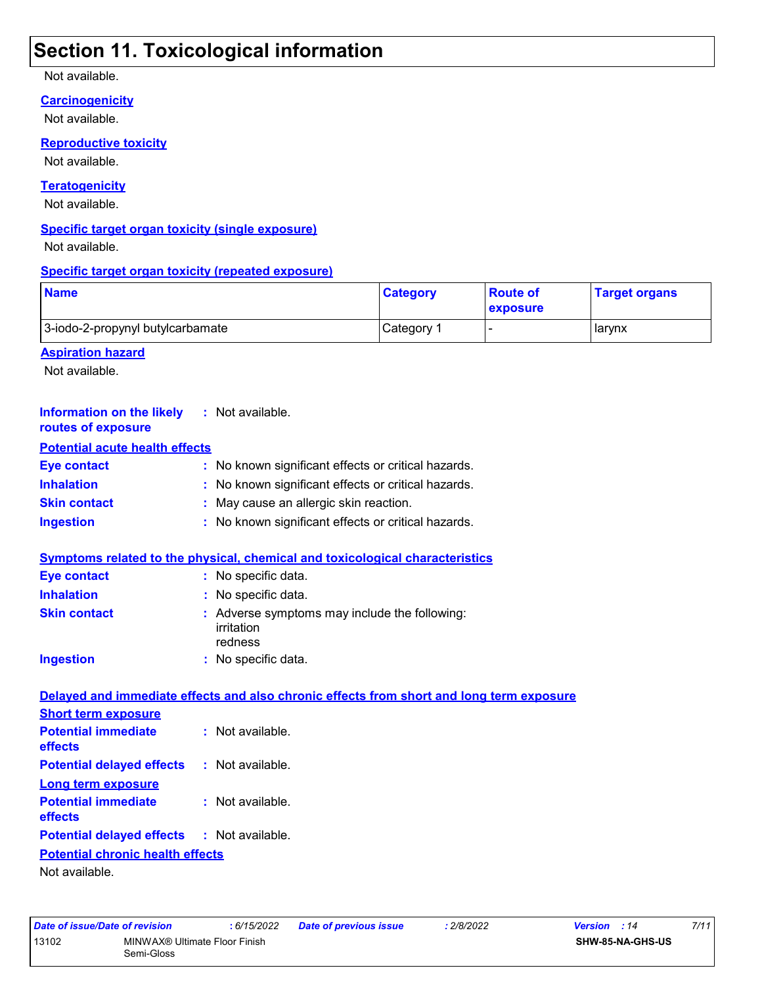### **Section 11. Toxicological information**

Not available.

#### **Carcinogenicity**

Not available.

#### **Reproductive toxicity**

Not available.

#### **Teratogenicity**

Not available.

#### **Specific target organ toxicity (single exposure)**

Not available.

#### **Specific target organ toxicity (repeated exposure)**

| <b>Name</b>                      | <b>Category</b> | ∣Route of<br><b>exposure</b> | <b>Target organs</b> |
|----------------------------------|-----------------|------------------------------|----------------------|
| 3-iodo-2-propynyl butylcarbamate | Category        |                              | <b>I</b> arynx       |

#### **Aspiration hazard**

Not available.

| <b>Information on the likely</b> : Not available.<br>routes of exposure |                                                                                          |
|-------------------------------------------------------------------------|------------------------------------------------------------------------------------------|
| <b>Potential acute health effects</b>                                   |                                                                                          |
| <b>Eye contact</b>                                                      | : No known significant effects or critical hazards.                                      |
| <b>Inhalation</b>                                                       | : No known significant effects or critical hazards.                                      |
| <b>Skin contact</b>                                                     | : May cause an allergic skin reaction.                                                   |
| <b>Ingestion</b>                                                        | No known significant effects or critical hazards.                                        |
|                                                                         | <b>Symptoms related to the physical, chemical and toxicological characteristics</b>      |
| <b>Eye contact</b>                                                      | : No specific data.                                                                      |
| <b>Inhalation</b>                                                       | : No specific data.                                                                      |
| <b>Skin contact</b>                                                     | : Adverse symptoms may include the following:<br>irritation<br>redness                   |
| <b>Ingestion</b>                                                        | : No specific data.                                                                      |
|                                                                         | Delayed and immediate effects and also chronic effects from short and long term exposure |
| <b>Short term exposure</b>                                              |                                                                                          |
| <b>Potential immediate</b><br>effects                                   | : Not available.                                                                         |
| <b>Potential delayed effects</b>                                        | : Not available.                                                                         |
| <b>Long term exposure</b>                                               |                                                                                          |
| <b>Potential immediate</b><br>effects                                   | : Not available.                                                                         |
| <b>Potential delayed effects</b>                                        | : Not available.                                                                         |
| <b>Potential chronic health effects</b>                                 |                                                                                          |
| Not available.                                                          |                                                                                          |

| Date of issue/Date of revision |                                             | : 6/15/2022 | <b>Date of previous issue</b> | 2/8/2022 | <b>Version</b> : 14 |                  | 7/11 |
|--------------------------------|---------------------------------------------|-------------|-------------------------------|----------|---------------------|------------------|------|
| 13102                          | MINWAX® Ultimate Floor Finish<br>Semi-Gloss |             |                               |          |                     | SHW-85-NA-GHS-US |      |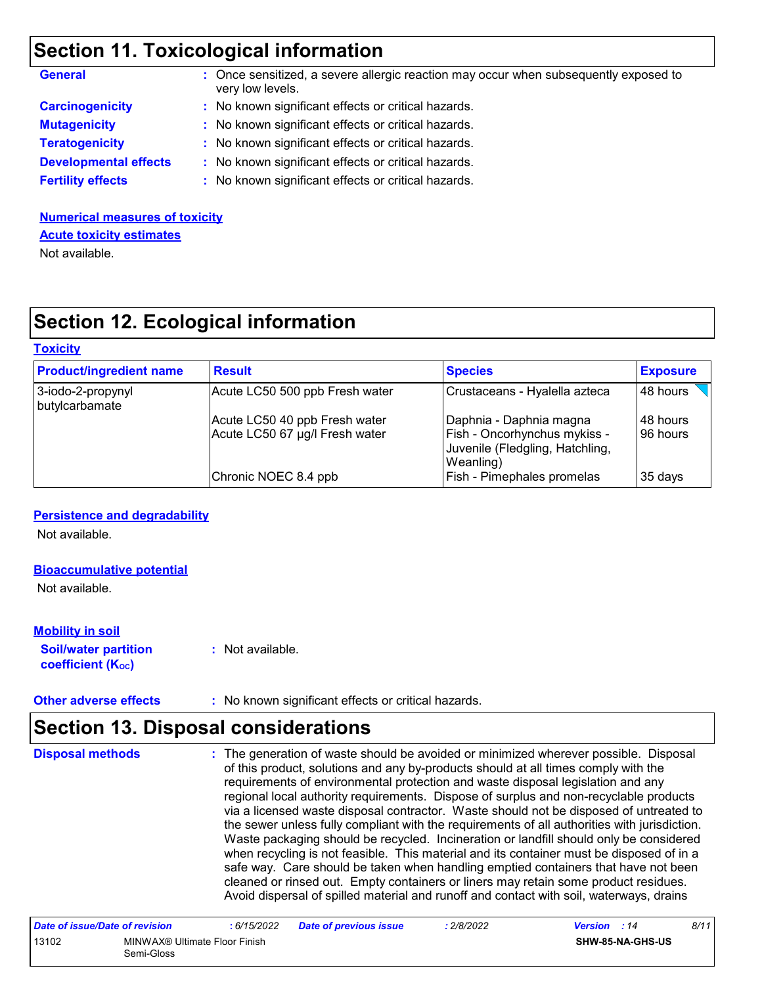### **Section 11. Toxicological information**

| <b>General</b>               | : Once sensitized, a severe allergic reaction may occur when subsequently exposed to<br>very low levels. |
|------------------------------|----------------------------------------------------------------------------------------------------------|
| <b>Carcinogenicity</b>       | : No known significant effects or critical hazards.                                                      |
| <b>Mutagenicity</b>          | : No known significant effects or critical hazards.                                                      |
| <b>Teratogenicity</b>        | : No known significant effects or critical hazards.                                                      |
| <b>Developmental effects</b> | : No known significant effects or critical hazards.                                                      |
| <b>Fertility effects</b>     | : No known significant effects or critical hazards.                                                      |
|                              |                                                                                                          |

#### **Numerical measures of toxicity** Not available. **Acute toxicity estimates**

### **Section 12. Ecological information**

#### **Toxicity**

| <b>Product/ingredient name</b>      | <b>Result</b>                                                   | <b>Species</b>                                                                                          | <b>Exposure</b>       |
|-------------------------------------|-----------------------------------------------------------------|---------------------------------------------------------------------------------------------------------|-----------------------|
| 3-iodo-2-propynyl<br>butylcarbamate | Acute LC50 500 ppb Fresh water                                  | Crustaceans - Hyalella azteca                                                                           | 48 hours              |
|                                     | Acute LC50 40 ppb Fresh water<br>Acute LC50 67 µg/l Fresh water | Daphnia - Daphnia magna<br>Fish - Oncorhynchus mykiss -<br>Juvenile (Fledgling, Hatchling,<br>Weanling) | 148 hours<br>96 hours |
|                                     | Chronic NOEC 8.4 ppb                                            | Fish - Pimephales promelas                                                                              | 35 days               |

#### **Persistence and degradability**

Not available.

#### **Bioaccumulative potential**

Not available.

#### **Mobility in soil**

**Soil/water partition coefficient (KOC)**

**:** Not available.

**Other adverse effects** : No known significant effects or critical hazards.

### **Section 13. Disposal considerations**

The generation of waste should be avoided or minimized wherever possible. Disposal of this product, solutions and any by-products should at all times comply with the requirements of environmental protection and waste disposal legislation and any regional local authority requirements. Dispose of surplus and non-recyclable products via a licensed waste disposal contractor. Waste should not be disposed of untreated to the sewer unless fully compliant with the requirements of all authorities with jurisdiction. Waste packaging should be recycled. Incineration or landfill should only be considered when recycling is not feasible. This material and its container must be disposed of in a safe way. Care should be taken when handling emptied containers that have not been cleaned or rinsed out. Empty containers or liners may retain some product residues. Avoid dispersal of spilled material and runoff and contact with soil, waterways, drains **Disposal methods :**

| Date of issue/Date of revision |                                             | : 6/15/2022 | <b>Date of previous issue</b> | 2/8/2022 | <b>Version</b> : 14 |                         | 8/11 |
|--------------------------------|---------------------------------------------|-------------|-------------------------------|----------|---------------------|-------------------------|------|
| 13102                          | MINWAX® Ultimate Floor Finish<br>Semi-Gloss |             |                               |          |                     | <b>SHW-85-NA-GHS-US</b> |      |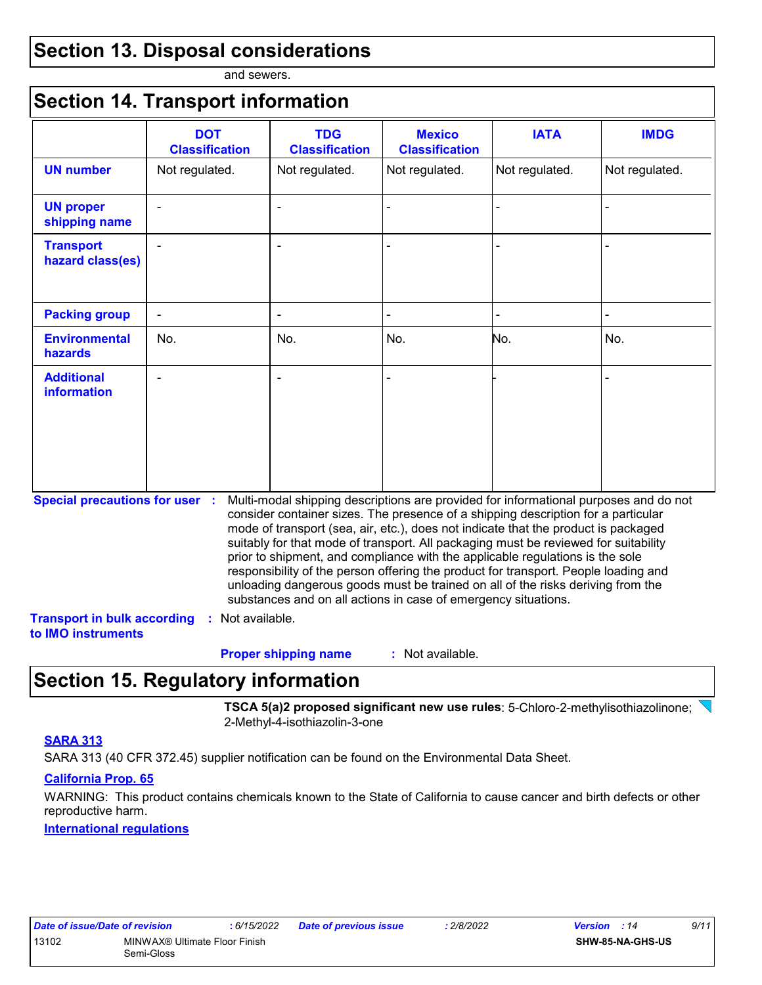### **Section 13. Disposal considerations**

and sewers.

### **Section 14. Transport information**

|                                                                                                   | <b>DOT</b><br><b>Classification</b> | <b>TDG</b><br><b>Classification</b>                            | <b>Mexico</b><br><b>Classification</b> | <b>IATA</b>                                                                                                                                                                                                                                                                                                                                                                                                                                                                                                                                                                                                       | <b>IMDG</b>    |
|---------------------------------------------------------------------------------------------------|-------------------------------------|----------------------------------------------------------------|----------------------------------------|-------------------------------------------------------------------------------------------------------------------------------------------------------------------------------------------------------------------------------------------------------------------------------------------------------------------------------------------------------------------------------------------------------------------------------------------------------------------------------------------------------------------------------------------------------------------------------------------------------------------|----------------|
| <b>UN number</b>                                                                                  | Not regulated.                      | Not regulated.                                                 | Not regulated.                         | Not regulated.                                                                                                                                                                                                                                                                                                                                                                                                                                                                                                                                                                                                    | Not regulated. |
| <b>UN proper</b><br>shipping name                                                                 |                                     |                                                                |                                        |                                                                                                                                                                                                                                                                                                                                                                                                                                                                                                                                                                                                                   |                |
| <b>Transport</b><br>hazard class(es)                                                              |                                     |                                                                |                                        |                                                                                                                                                                                                                                                                                                                                                                                                                                                                                                                                                                                                                   |                |
| <b>Packing group</b>                                                                              |                                     |                                                                |                                        |                                                                                                                                                                                                                                                                                                                                                                                                                                                                                                                                                                                                                   |                |
| <b>Environmental</b><br><b>hazards</b>                                                            | No.                                 | No.                                                            | No.                                    | No.                                                                                                                                                                                                                                                                                                                                                                                                                                                                                                                                                                                                               | No.            |
| <b>Additional</b><br><b>information</b>                                                           |                                     |                                                                |                                        |                                                                                                                                                                                                                                                                                                                                                                                                                                                                                                                                                                                                                   |                |
| <b>Special precautions for user :</b><br><b>Transport in bulk according</b><br>to IMO instruments | Not available.<br>÷.                | substances and on all actions in case of emergency situations. |                                        | Multi-modal shipping descriptions are provided for informational purposes and do not<br>consider container sizes. The presence of a shipping description for a particular<br>mode of transport (sea, air, etc.), does not indicate that the product is packaged<br>suitably for that mode of transport. All packaging must be reviewed for suitability<br>prior to shipment, and compliance with the applicable regulations is the sole<br>responsibility of the person offering the product for transport. People loading and<br>unloading dangerous goods must be trained on all of the risks deriving from the |                |
|                                                                                                   |                                     | <b>Proper shipping name</b>                                    | : Not available.                       |                                                                                                                                                                                                                                                                                                                                                                                                                                                                                                                                                                                                                   |                |

### **Section 15. Regulatory information**

**TSCA 5(a)2 proposed significant new use rules**: 5-Chloro-2-methylisothiazolinone; 2-Methyl-4-isothiazolin-3-one

#### **SARA 313**

SARA 313 (40 CFR 372.45) supplier notification can be found on the Environmental Data Sheet.

#### **California Prop. 65**

WARNING: This product contains chemicals known to the State of California to cause cancer and birth defects or other reproductive harm.

#### **International regulations**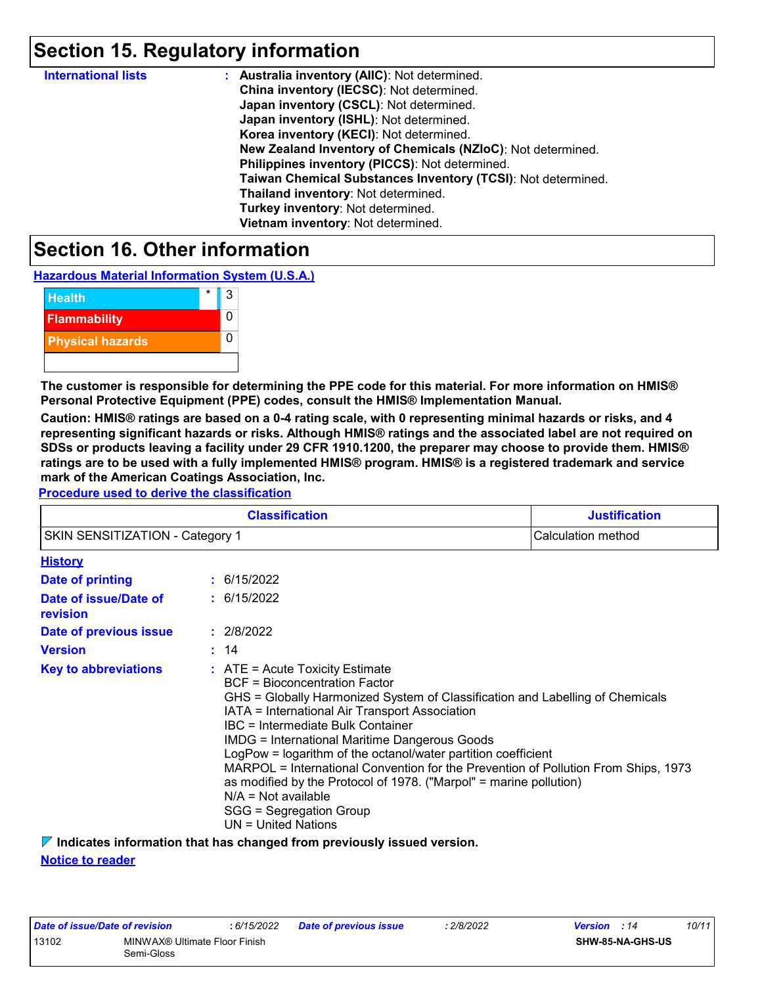### **Section 15. Regulatory information**

| <b>International lists</b> | : Australia inventory (AIIC): Not determined.                |
|----------------------------|--------------------------------------------------------------|
|                            | China inventory (IECSC): Not determined.                     |
|                            | Japan inventory (CSCL): Not determined.                      |
|                            | Japan inventory (ISHL): Not determined.                      |
|                            | Korea inventory (KECI): Not determined.                      |
|                            | New Zealand Inventory of Chemicals (NZIoC): Not determined.  |
|                            | Philippines inventory (PICCS): Not determined.               |
|                            | Taiwan Chemical Substances Inventory (TCSI): Not determined. |
|                            | Thailand inventory: Not determined.                          |
|                            | Turkey inventory: Not determined.                            |
|                            | Vietnam inventory: Not determined.                           |

### **Section 16. Other information**

**Hazardous Material Information System (U.S.A.)**

| <b>Health</b>           |  |
|-------------------------|--|
| <b>Flammability</b>     |  |
| <b>Physical hazards</b> |  |
|                         |  |

**The customer is responsible for determining the PPE code for this material. For more information on HMIS® Personal Protective Equipment (PPE) codes, consult the HMIS® Implementation Manual.**

**Caution: HMIS® ratings are based on a 0-4 rating scale, with 0 representing minimal hazards or risks, and 4 representing significant hazards or risks. Although HMIS® ratings and the associated label are not required on SDSs or products leaving a facility under 29 CFR 1910.1200, the preparer may choose to provide them. HMIS® ratings are to be used with a fully implemented HMIS® program. HMIS® is a registered trademark and service mark of the American Coatings Association, Inc.**

**Procedure used to derive the classification**

|                                        | <b>Justification</b>                                                                                                                                                                                                                                                                                                                                                                                                                                                                                                                                                                                                |                    |
|----------------------------------------|---------------------------------------------------------------------------------------------------------------------------------------------------------------------------------------------------------------------------------------------------------------------------------------------------------------------------------------------------------------------------------------------------------------------------------------------------------------------------------------------------------------------------------------------------------------------------------------------------------------------|--------------------|
| <b>SKIN SENSITIZATION - Category 1</b> |                                                                                                                                                                                                                                                                                                                                                                                                                                                                                                                                                                                                                     | Calculation method |
| <b>History</b>                         |                                                                                                                                                                                                                                                                                                                                                                                                                                                                                                                                                                                                                     |                    |
| <b>Date of printing</b>                | : 6/15/2022                                                                                                                                                                                                                                                                                                                                                                                                                                                                                                                                                                                                         |                    |
| Date of issue/Date of<br>revision      | : 6/15/2022                                                                                                                                                                                                                                                                                                                                                                                                                                                                                                                                                                                                         |                    |
| Date of previous issue                 | : 2/8/2022                                                                                                                                                                                                                                                                                                                                                                                                                                                                                                                                                                                                          |                    |
| <b>Version</b>                         | : 14                                                                                                                                                                                                                                                                                                                                                                                                                                                                                                                                                                                                                |                    |
| <b>Key to abbreviations</b>            | $:$ ATE = Acute Toxicity Estimate<br><b>BCF</b> = Bioconcentration Factor<br>GHS = Globally Harmonized System of Classification and Labelling of Chemicals<br>IATA = International Air Transport Association<br>IBC = Intermediate Bulk Container<br><b>IMDG = International Maritime Dangerous Goods</b><br>LogPow = logarithm of the octanol/water partition coefficient<br>MARPOL = International Convention for the Prevention of Pollution From Ships, 1973<br>as modified by the Protocol of 1978. ("Marpol" = marine pollution)<br>$N/A = Not available$<br>SGG = Segregation Group<br>$UN = United Nations$ |                    |

**Indicates information that has changed from previously issued version.**

**Notice to reader**

| Date of issue/Date of revision |                               | : 6/15/2022 | <b>Date of previous issue</b> | 2/8/2022 | 10/11<br><b>Version</b> : 14 |
|--------------------------------|-------------------------------|-------------|-------------------------------|----------|------------------------------|
| 13102                          | MINWAX® Ultimate Floor Finish |             |                               |          | <b>SHW-85-NA-GHS-US</b>      |
|                                | Semi-Gloss                    |             |                               |          |                              |